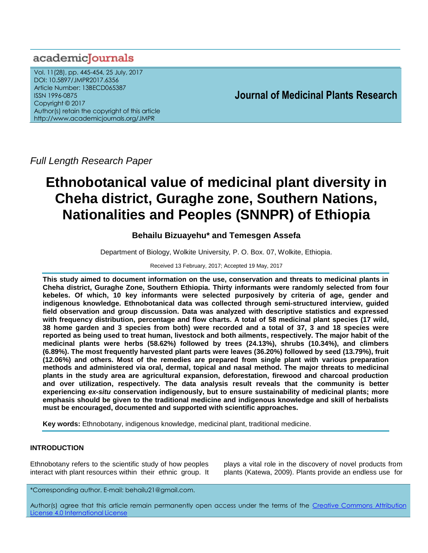# academiclournals

Vol. 11(28), pp. 445-454, 25 July, 2017 DOI: 10.5897/JMPR2017.6356 Article Number: 13BECD065387 ISSN 1996-0875 Copyright © 2017 Author(s) retain the copyright of this article http://www.academicjournals.org/JMPR

# **Journal of Medicinal Plants Research**

*Full Length Research Paper* 

# **Ethnobotanical value of medicinal plant diversity in Cheha district, Guraghe zone, Southern Nations, Nationalities and Peoples (SNNPR) of Ethiopia**

# **Behailu Bizuayehu\* and Temesgen Assefa**

Department of Biology, Wolkite University*,* P. O. Box. 07, Wolkite, Ethiopia.

# Received 13 February, 2017; Accepted 19 May, 2017

**This study aimed to document information on the use, conservation and threats to medicinal plants in Cheha district, Guraghe Zone, Southern Ethiopia. Thirty informants were randomly selected from four kebeles. Of which, 10 key informants were selected purposively by criteria of age, gender and indigenous knowledge. Ethnobotanical data was collected through semi-structured interview, guided field observation and group discussion. Data was analyzed with descriptive statistics and expressed with frequency distribution, percentage and flow charts. A total of 58 medicinal plant species (17 wild, 38 home garden and 3 species from both) were recorded and a total of 37, 3 and 18 species were reported as being used to treat human, livestock and both ailments, respectively. The major habit of the medicinal plants were herbs (58.62%) followed by trees (24.13%), shrubs (10.34%), and climbers (6.89%). The most frequently harvested plant parts were leaves (36.20%) followed by seed (13.79%), fruit (12.06%) and others. Most of the remedies are prepared from single plant with various preparation methods and administered via oral, dermal, topical and nasal method. The major threats to medicinal plants in the study area are agricultural expansion, deforestation, firewood and charcoal production and over utilization, respectively. The data analysis result reveals that the community is better experiencing** *ex-situ* **conservation indigenously, but to ensure sustainability of medicinal plants; more emphasis should be given to the traditional medicine and indigenous knowledge and skill of herbalists must be encouraged, documented and supported with scientific approaches.**

**Key words:** Ethnobotany, indigenous knowledge, medicinal plant, traditional medicine.

# **INTRODUCTION**

Ethnobotany refers to the scientific study of how peoples interact with plant resources within their ethnic group. It plays a vital role in the discovery of novel products from plants (Katewa, 2009). Plants provide an endless use for

\*Corresponding author. E-mail: behailu21@gmail.com.

Author(s) agree that this article remain permanently open access under the terms of the Creative Commons [Attribution](http://creativecommons.org/licenses/by/4.0/deed.en_US)  License 4.0 [International](http://creativecommons.org/licenses/by/4.0/deed.en_US) License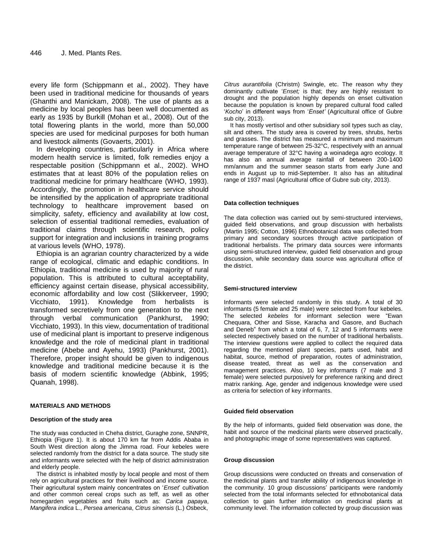every life form (Schippmann et al., 2002). They have been used in traditional medicine for thousands of years (Ghanthi and Manickam, 2008). The use of plants as a medicine by local peoples has been well documented as early as 1935 by Burkill (Mohan et al., 2008). Out of the total flowering plants in the world, more than 50,000 species are used for medicinal purposes for both human and livestock ailments (Govaerts, 2001).

In developing countries, particularly in Africa where modern health service is limited, folk remedies enjoy a respectable position (Schippmann et al., 2002). WHO estimates that at least 80% of the population relies on traditional medicine for primary healthcare (WHO, 1993). Accordingly, the promotion in healthcare service should be intensified by the application of appropriate traditional technology to healthcare improvement based on simplicity, safety, efficiency and availability at low cost, selection of essential traditional remedies, evaluation of traditional claims through scientific research, policy support for integration and inclusions in training programs at various levels (WHO, 1978).

Ethiopia is an agrarian country characterized by a wide range of ecological, climatic and edaphic conditions. In Ethiopia, traditional medicine is used by majority of rural population. This is attributed to cultural acceptability, efficiency against certain disease, physical accessibility, economic affordability and low cost (Slikkerveer, 1990; Vicchiato, 1991). Knowledge from herbalists is transformed secretively from one generation to the next through verbal communication (Pankhurst, 1990; Vicchiato, 1993). In this view, documentation of traditional use of medicinal plant is important to preserve indigenous knowledge and the role of medicinal plant in traditional medicine (Abebe and Ayehu, 1993) (Pankhurst, 2001). Therefore, proper insight should be given to indigenous knowledge and traditional medicine because it is the basis of modern scientific knowledge (Abbink, 1995; Quanah, 1998).

#### **MATERIALS AND METHODS**

#### **Description of the study area**

The study was conducted in Cheha district, Guraghe zone, SNNPR, Ethiopia (Figure 1). It is about 170 km far from Addis Ababa in South West direction along the Jimma road. Four kebeles were selected randomly from the district for a data source. The study site and informants were selected with the help of district administration and elderly people.

The district is inhabited mostly by local people and most of them rely on agricultural practices for their livelihood and income source. Their agricultural system mainly concentrates on 'Enset' cultivation and other common cereal crops such as teff, as well as other homegarden vegetables and fruits such as: *Carica papaya*, *Mangifera indica* L., *Persea americana*, *Citrus sinensis* (L.) Osbeck,

*Citrus aurantifolia* (Christm) Swingle, etc. The reason why they dominantly cultivate "*Enset;* is that; they are highly resistant to drought and the population highly depends on enset cultivation because the population is known by prepared cultural food called "*Kocho*" in different ways from "*Enset'* (Agricultural office of Gubre sub city, 2013).

It has mostly vertisol and other subsidiary soil types such as clay, silt and others. The study area is covered by trees, shrubs, herbs and grasses. The district has measured a minimum and maximum temperature range of between 25-32°C, respectively with an annual average temperature of 32°C having a woinadega agro ecology. It has also an annual average rainfall of between 200-1400 mm/annum and the summer season starts from early June and ends in August up to mid-September. It also has an altitudinal range of 1937 masl (Agricultural office of Gubre sub city, 2013).

#### **Data collection techniques**

The data collection was carried out by semi-structured interviews, guided field observations, and group discussion with herbalists (Martin 1995; Cotton, 1996) Ethnobotanical data was collected from primary and secondary sources through active participation of traditional herbalists. The primary data sources were informants using semi-structured interview, guided field observation and group discussion, while secondary data source was agricultural office of the district.

#### **Semi-structured interview**

Informants were selected randomly in this study. A total of 30 informants (5 female and 25 male) were selected from four kebeles. The selected *kebeles* for informant selection were "Ewan Chequara, Other and Sisse, Karacha and Gasore, and Buchach and Deneb" from which a total of 6, 7, 12 and 5 informants were selected respectively based on the number of traditional herbalists. The interview questions were applied to collect the required data regarding the mentioned plant species, parts used, habit and habitat, source, method of preparation, routes of administration, disease treated, threat as well as the conservation and management practices. Also, 10 key informants (7 male and 3 female) were selected purposively for preference ranking and direct matrix ranking. Age, gender and indigenous knowledge were used as criteria for selection of key informants.

#### **Guided field observation**

By the help of informants, guided field observation was done, the habit and source of the medicinal plants were observed practically, and photographic image of some representatives was captured.

#### **Group discussion**

Group discussions were conducted on threats and conservation of the medicinal plants and transfer ability of indigenous knowledge in the community. 10 group discussions' participants were randomly selected from the total informants selected for ethnobotanical data collection to gain further information on medicinal plants at community level. The information collected by group discussion was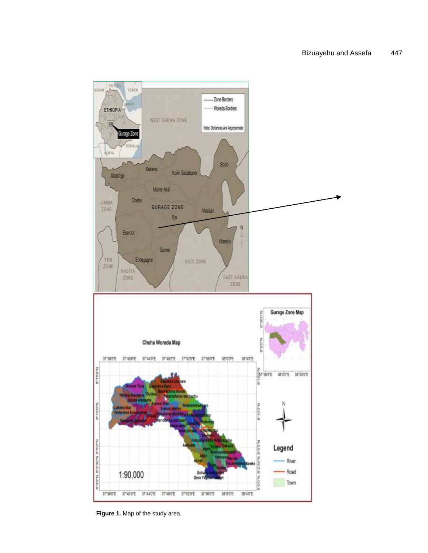

**Figure 1.** Map of the study area.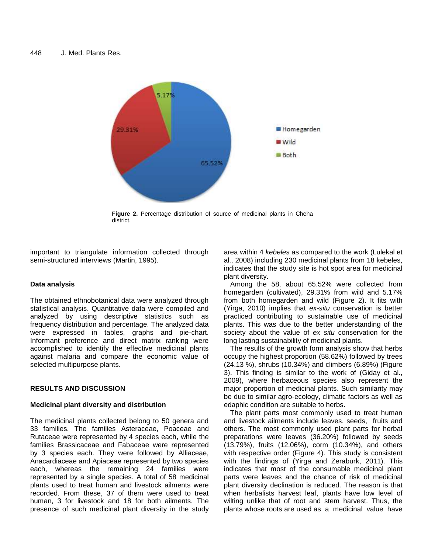

**Figure 2.** Percentage distribution of source of medicinal plants in Cheha district.

important to triangulate information collected through semi-structured interviews (Martin, 1995).

## **Data analysis**

The obtained ethnobotanical data were analyzed through statistical analysis. Quantitative data were compiled and analyzed by using descriptive statistics such as frequency distribution and percentage. The analyzed data were expressed in tables, graphs and pie-chart. Informant preference and direct matrix ranking were accomplished to identify the effective medicinal plants against malaria and compare the economic value of selected multipurpose plants.

# **RESULTS AND DISCUSSION**

### **Medicinal plant diversity and distribution**

The medicinal plants collected belong to 50 genera and 33 families. The families Asteraceae, Poaceae and Rutaceae were represented by 4 species each, while the families Brassicaceae and Fabaceae were represented by 3 species each. They were followed by Alliaceae, Anacardiaceae and Apiaceae represented by two species each, whereas the remaining 24 families were represented by a single species. A total of 58 medicinal plants used to treat human and livestock ailments were recorded. From these, 37 of them were used to treat human, 3 for livestock and 18 for both ailments. The presence of such medicinal plant diversity in the study

area within 4 *kebeles* as compared to the work (Lulekal et al., 2008) including 230 medicinal plants from 18 kebeles, indicates that the study site is hot spot area for medicinal plant diversity.

Among the 58, about 65.52% were collected from homegarden (cultivated), 29.31% from wild and 5.17% from both homegarden and wild (Figure 2). It fits with (Yirga, 2010) implies that *ex-situ* conservation is better practiced contributing to sustainable use of medicinal plants. This was due to the better understanding of the society about the value of *ex situ* conservation for the long lasting sustainability of medicinal plants.

The results of the growth form analysis show that herbs occupy the highest proportion (58.62%) followed by trees (24.13 %), shrubs (10.34%) and climbers (6.89%) (Figure 3). This finding is similar to the work of (Giday et al., 2009), where herbaceous species also represent the major proportion of medicinal plants. Such similarity may be due to similar agro-ecology, climatic factors as well as edaphic condition are suitable to herbs.

The plant parts most commonly used to treat human and livestock ailments include leaves, seeds, fruits and others. The most commonly used plant parts for herbal preparations were leaves (36.20%) followed by seeds (13.79%), fruits (12.06%), corm (10.34%), and others with respective order (Figure 4). This study is consistent with the findings of (Yirga and Zeraburk, 2011). This indicates that most of the consumable medicinal plant parts were leaves and the chance of risk of medicinal plant diversity declination is reduced. The reason is that when herbalists harvest leaf, plants have low level of wilting unlike that of root and stem harvest. Thus, the plants whose roots are used as a medicinal value have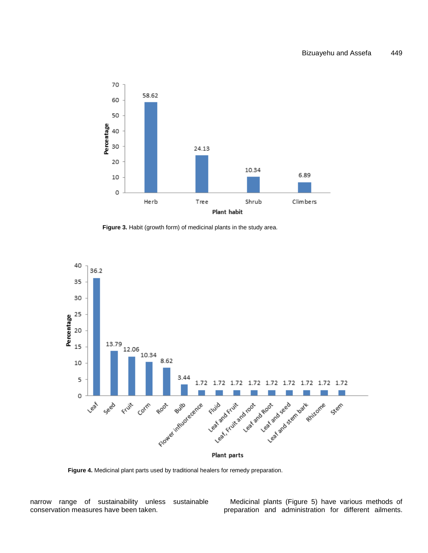

Figure 3. Habit (growth form) of medicinal plants in the study area.



**Figure 4.** Medicinal plant parts used by traditional healers for remedy preparation.

narrow range of sustainability unless sustainable conservation measures have been taken.

Medicinal plants (Figure 5) have various methods of preparation and administration for different ailments.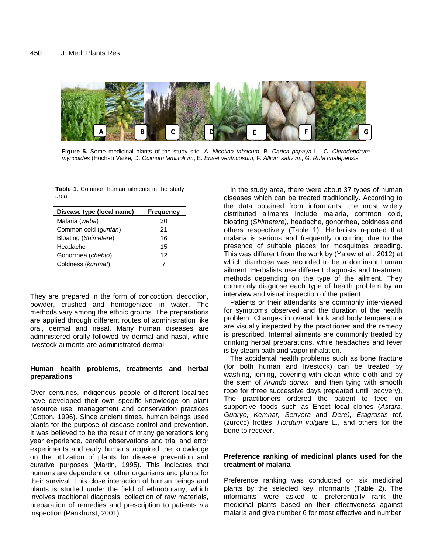

**Figure 5.** Some medicinal plants of the study site. A. *Nicotina tabacum*, B. *Carica papaya* L., C. *Clerodendrum myricoides* (Hochst) Vatke*,* D. *Ocimum lamiifolium*, E. *Enset ventricosum*, F. *Allium sativum*, *G. Ruta chalepensis.*

**Table 1.** Common human ailments in the study area.

| Disease type (local name) | <b>Frequency</b> |  |  |  |  |
|---------------------------|------------------|--|--|--|--|
| Malaria (weba)            | 30               |  |  |  |  |
| Common cold (gunfan)      | 21               |  |  |  |  |
| Bloating (Shimetere)      | 16               |  |  |  |  |
| Headache                  | 15               |  |  |  |  |
| Gonorrhea (chebto)        | 12               |  |  |  |  |
| Coldness (kurtmat)        |                  |  |  |  |  |

They are prepared in the form of concoction, decoction, powder, crushed and homogenized in water. The methods vary among the ethnic groups. The preparations are applied through different routes of administration like oral, dermal and nasal. Many human diseases are administered orally followed by dermal and nasal, while livestock ailments are administrated dermal.

# **Human health problems, treatments and herbal preparations**

Over centuries, indigenous people of different localities have developed their own specific knowledge on plant resource use, management and conservation practices (Cotton, 1996). Since ancient times, human beings used plants for the purpose of disease control and prevention. It was believed to be the result of many generations long year experience, careful observations and trial and error experiments and early humans acquired the knowledge on the utilization of plants for disease prevention and curative purposes (Martin, 1995). This indicates that humans are dependent on other organisms and plants for their survival. This close interaction of human beings and plants is studied under the field of ethnobotany, which involves traditional diagnosis, collection of raw materials, preparation of remedies and prescription to patients via inspection (Pankhurst, 2001).

In the study area, there were about 37 types of human diseases which can be treated traditionally. According to the data obtained from informants, the most widely distributed ailments include malaria, common cold, bloating (*Shimetere)*, headache, gonorrhea, coldness and others respectively (Table 1). Herbalists reported that malaria is serious and frequently occurring due to the presence of suitable places for mosquitoes breeding. This was different from the work by (Yalew et al., 2012) at which diarrhoea was recorded to be a dominant human ailment. Herbalists use different diagnosis and treatment methods depending on the type of the ailment. They commonly diagnose each type of health problem by an interview and visual inspection of the patient.

Patients or their attendants are commonly interviewed for symptoms observed and the duration of the health problem. Changes in overall look and body temperature are visually inspected by the practitioner and the remedy is prescribed. Internal ailments are commonly treated by drinking herbal preparations, while headaches and fever is by steam bath and vapor inhalation.

The accidental health problems such as bone fracture (for both human and livestock) can be treated by washing, joining, covering with clean white cloth and by the stem of *Arundo donax* and then tying with smooth rope for three successive days (repeated until recovery). The practitioners ordered the patient to feed on supportive foods such as Enset local clones (*Astara, Guarye, Kemnar, Senyera* and *Dere), Eragrostis tef*. (zurocc) frottes, *Hordum vulgare* L., and others for the bone to recover.

# **Preference ranking of medicinal plants used for the treatment of malaria**

Preference ranking was conducted on six medicinal plants by the selected key informants (Table 2). The informants were asked to preferentially rank the medicinal plants based on their effectiveness against malaria and give number 6 for most effective and number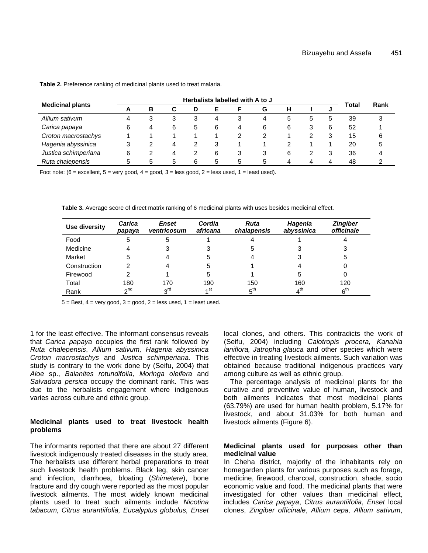|                         | Herbalists labelled with A to J |   |   |   |   |   |   |   |   |   |       |      |
|-------------------------|---------------------------------|---|---|---|---|---|---|---|---|---|-------|------|
| <b>Medicinal plants</b> | A                               | в | C | D | Е |   | G | н |   | u | Total | Rank |
| Allium sativum          | 4                               | 3 | 3 |   | 4 | 3 | 4 | 5 | 5 | 5 | 39    | 3    |
| Carica papaya           | 6                               | 4 | 6 | 5 | 6 | 4 | 6 | 6 | 3 | 6 | 52    |      |
| Croton macrostachys     |                                 |   |   |   |   | 2 |   |   |   |   | 15    | 6    |
| Hagenia abyssinica      | 3                               |   | 4 |   | 3 |   |   | っ |   |   | 20    | 5    |
| Justica schimperiana    | 6                               |   | 4 |   | 6 | 3 |   | 6 |   |   | 36    |      |
| Ruta chalepensis        | 5                               | 5 | 5 | 6 | 5 | 5 | 5 |   |   |   | 48    |      |

**Table 2.** Preference ranking of medicinal plants used to treat malaria.

Foot note:  $(6 =$  excellent,  $5 =$  very good,  $4 =$  good,  $3 =$  less good,  $2 =$  less used,  $1 =$  least used).

**Table 3.** Average score of direct matrix ranking of 6 medicinal plants with uses besides medicinal effect.

| Use diversity | Carica<br>papaya | <b>Enset</b><br>ventricosum | Cordia<br>africana | <b>Ruta</b><br>chalapensis | Hagenia<br>abyssinica | <b>Zingiber</b><br>officinale |
|---------------|------------------|-----------------------------|--------------------|----------------------------|-----------------------|-------------------------------|
| Food          | 5                | 5                           |                    | 4                          |                       |                               |
| Medicine      | 4                |                             |                    | 5                          |                       | 3                             |
| Market        | 5                |                             | 5                  |                            |                       | 5                             |
| Construction  | ົ                |                             | 5                  |                            |                       | 0                             |
| Firewood      | っ                |                             | 5                  |                            | 5                     | 0                             |
| Total         | 180              | 170                         | 190                | 150                        | 160                   | 120                           |
| Rank          | 2 <sub>n</sub>   | 3 <sup>rd</sup>             | ⊿ st               | $5^{\text{th}}$            | 4 <sup>th</sup>       | 6 <sup>th</sup>               |

 $5 =$  Best,  $4 =$  very good,  $3 =$  good,  $2 =$  less used,  $1 =$  least used.

1 for the least effective. The informant consensus reveals that *Carica papaya* occupies the first rank followed by *Ruta chalepensis*, *Allium sativum, Hagenia abyssinica Croton macrostachys* and *Justica schimperiana*. This study is contrary to the work done by (Seifu, 2004) that *Aloe* sp., *Balanites rotundifolia, Moringa oleifera* and *Salvadora persica* occupy the dominant rank. This was due to the herbalists engagement where indigenous varies across culture and ethnic group.

## **Medicinal plants used to treat livestock health problems**

The informants reported that there are about 27 different livestock indigenously treated diseases in the study area. The herbalists use different herbal preparations to treat such livestock health problems. Black leg, skin cancer and infection, diarrhoea, bloating (*Shimetere*), bone fracture and dry cough were reported as the most popular livestock ailments. The most widely known medicinal plants used to treat such ailments include *Nicotina tabacum, Citrus aurantiifolia, Eucalyptus globulus, Enset*  local clones, and others. This contradicts the work of (Seifu, 2004) including *Calotropis procera, Kanahia laniflora, Jatropha glauca* and other species which were effective in treating livestock ailments. Such variation was obtained because traditional indigenous practices vary among culture as well as ethnic group.

The percentage analysis of medicinal plants for the curative and preventive value of human, livestock and both ailments indicates that most medicinal plants (63.79%) are used for human health problem, 5.17% for livestock, and about 31.03% for both human and livestock ailments (Figure 6).

# **Medicinal plants used for purposes other than medicinal value**

In Cheha district, majority of the inhabitants rely on homegarden plants for various purposes such as forage, medicine, firewood, charcoal, construction, shade, socio economic value and food. The medicinal plants that were investigated for other values than medicinal effect, includes *Carica papaya*, *Citrus aurantiifolia*, *Enset* local clones, *Zingiber officinale*, *Allium cepa, Allium sativum*,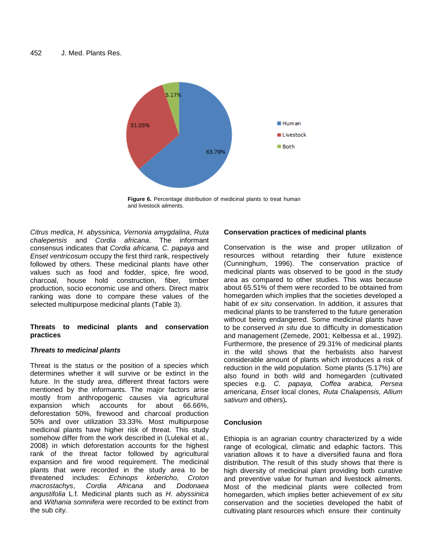

**Figure 6.** Percentage distribution of medicinal plants to treat human and livestock ailments.

*Citrus medica*, *H. abyssinica, Vernonia amygdalina*, *Ruta chalepensis* and *Cordia africana*. The informant consensus indicates that *Cordia africana, C. papaya* and *Enset ventricosum* occupy the first third rank, respectively followed by others. These medicinal plants have other values such as food and fodder, spice, fire wood, charcoal, house hold construction, fiber, timber production, socio economic use and others. Direct matrix ranking was done to compare these values of the selected multipurpose medicinal plants (Table 3).

# **Threats to medicinal plants and conservation practices**

# *Threats to medicinal plants*

Threat is the status or the position of a species which determines whether it will survive or be extinct in the future. In the study area, different threat factors were mentioned by the informants. The major factors arise mostly from anthropogenic causes via agricultural expansion which accounts for about 66.66%, deforestation 50%, firewood and charcoal production 50% and over utilization 33.33%. Most multipurpose medicinal plants have higher risk of threat. This study somehow differ from the work described in (Lulekal et al., 2008) in which deforestation accounts for the highest rank of the threat factor followed by agricultural expansion and fire wood requirement. The medicinal plants that were recorded in the study area to be threatened includes: *Echinops kebericho, Croton macrostachys*, *Cordia Africana* and *Dodonaea angustifolia* L.f*.* Medicinal plants such as *H. abyssinica*  and *Withania somnifera* were recorded to be extinct from the sub city.

# **Conservation practices of medicinal plants**

Conservation is the wise and proper utilization of resources without retarding their future existence (Cunninghum, 1996). The conservation practice of medicinal plants was observed to be good in the study area as compared to other studies. This was because about 65.51% of them were recorded to be obtained from homegarden which implies that the societies developed a habit of *ex situ* conservation. In addition, it assures that medicinal plants to be transferred to the future generation without being endangered. Some medicinal plants have to be conserved *in situ* due to difficulty in domestication and management (Zemede, 2001; Kelbessa et al., 1992). Furthermore, the presence of 29.31% of medicinal plants in the wild shows that the herbalists also harvest considerable amount of plants which introduces a risk of reduction in the wild population*.* Some plants (5.17%) are also found in both wild and homegarden (cultivated species e.g. *C. papaya, Coffea arabica, Persea americana, Enset* local clones*, Ruta Chalapensis, Allium sativum* and others)*.*

# **Conclusion**

Ethiopia is an agrarian country characterized by a wide range of ecological, climatic and edaphic factors. This variation allows it to have a diversified fauna and flora distribution. The result of this study shows that there is high diversity of medicinal plant providing both curative and preventive value for human and livestock ailments. Most of the medicinal plants were collected from homegarden, which implies better achievement of *ex situ*  conservation and the societies developed the habit of cultivating plant resources which ensure their continuity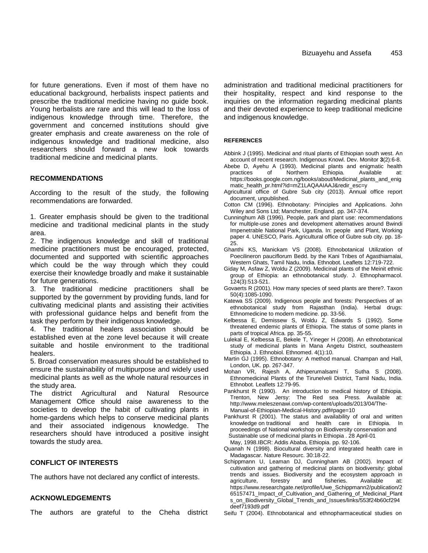for future generations. Even if most of them have no educational background, herbalists inspect patients and prescribe the traditional medicine having no guide book. Young herbalists are rare and this will lead to the loss of indigenous knowledge through time. Therefore, the government and concerned institutions should give greater emphasis and create awareness on the role of indigenous knowledge and traditional medicine, also researchers should forward a new look towards traditional medicine and medicinal plants.

# **RECOMMENDATIONS**

According to the result of the study, the following recommendations are forwarded.

1. Greater emphasis should be given to the traditional medicine and traditional medicinal plants in the study area.

2. The indigenous knowledge and skill of traditional medicine practitioners must be encouraged, protected, documented and supported with scientific approaches which could be the way through which they could exercise their knowledge broadly and make it sustainable for future generations.

3. The traditional medicine practitioners shall be supported by the government by providing funds, land for cultivating medicinal plants and assisting their activities with professional quidance helps and benefit from the task they perform by their indigenous knowledge.

4. The traditional healers association should be established even at the zone level because it will create suitable and hostile environment to the traditional healers.

5. Broad conservation measures should be established to ensure the sustainability of multipurpose and widely used medicinal plants as well as the whole natural resources in the study area.

The district Agricultural and Natural Resource Management Office should raise awareness to the societies to develop the habit of cultivating plants in home-gardens which helps to conserve medicinal plants and their associated indigenous knowledge. The researchers should have introduced a positive insight towards the study area.

# **CONFLICT OF INTERESTS**

The authors have not declared any conflict of interests.

### **ACKNOWLEDGEMENTS**

The authors are grateful to the Cheha district

administration and traditional medicinal practitioners for their hospitality, respect and kind response to the inquiries on the information regarding medicinal plants and their devoted experience to keep traditional medicine and indigenous knowledge.

#### **REFERENCES**

Abbink J (1995). Medicinal and ritual plants of Ethiopian south west. An account of recent research. Indigenous Knowl. Dev. Monitor **3**(2):6-8.

- Abebe D, Ayehu A (1993). Medicinal plants and enigmatic health practices of Northern Ethiopia. Available at: [https://books.google.com.ng/books/about/Medicinal\\_plants\\_and\\_enig](https://books.google.com.ng/books/about/Medicinal_plants_and_enigmatic_health_pr.html?id=mZ1LAQAAIAAJ&redir_esc=y) [matic\\_health\\_pr.html?id=mZ1LAQAAIAAJ&redir\\_esc=y](https://books.google.com.ng/books/about/Medicinal_plants_and_enigmatic_health_pr.html?id=mZ1LAQAAIAAJ&redir_esc=y)
- Agricultural office of Gubre Sub city (2013). Annual office report document, unpublished.
- Cotton CM (1996). Ethnobotany: Principles and Applications. John Wiley and Sons Ltd; Manchester, England. pp. 347-374.
- Cunninghum AB (1996). People, park and plant use: recommendations for multiple-use zones and development alternatives around Bwindi Impenetrable National Park, Uganda. In: people and Plant, Working paper 4. UNESCO, Paris. Agricultural office of Gubre sub city. pp. 18- 25.
- Ghanthi KS, Manickam VS (2008). Ethnobotanical Utilization of Poecilineron pauciflorum Bedd. by the Kani Tribes of Agasthiamalai, Western Ghats, Tamil Nadu, India. Ethnobot. Leaflets 12:719-722.
- Giday M, Asfaw Z, Woldu Z (2009). Medicinal plants of the Meinit ethnic group of Ethiopia: an ethnobotanical study. J. Ethnopharmacol. 124(3):513-521.
- Govaerts R (2001). How many species of seed plants are there?. Taxon 50(4):1085-1090.
- Katewa SS (2009). Indigenous people and forests: Perspectives of an ethnobotanical study from Rajasthan (India). Herbal drugs: Ethnomedicine to modern medicine. pp. 33-56.
- Kelbessa E, Demissew S, Woldu Z, Edwards S (1992). Some threatened endemic plants of Ethiopia. The status of some plants in parts of tropical Africa. pp. 35-55.
- Lulekal E, Kelbessa E, Bekele T, Yineger H (2008). An ethnobotanical study of medicinal plants in Mana Angetu District, southeastern Ethiopia. J. Ethnobiol. Ethnomed. 4(1):10.
- Martin GJ (1995). Ethnobotany: A method manual. Champan and Hall, London, UK. pp. 267-347.
- Mohan VR, Rajesh A, Athiperumalsami T, Sutha S (2008). Ethnomedicinal Plants of the Tirunelveli District, Tamil Nadu, India. Ethnobot. Leaflets 12:79-95.
- Pankhurst R (1990). An introduction to medical history of Ethiopia. Trenton, New Jersy: The Red sea Press. Available at: [http://www.meleszenawi.com/wp-content/uploads/2013/04/The-](http://www.meleszenawi.com/wp-content/uploads/2013/04/The-Manual-of-Ethiopian-Medical-History.pdf#page=10)[Manual-of-Ethiopian-Medical-History.pdf#page=10](http://www.meleszenawi.com/wp-content/uploads/2013/04/The-Manual-of-Ethiopian-Medical-History.pdf#page=10)
- Pankhurst R (2001). The status and availability of oral and written knowledge on traditional and health care in Ethiopia. In proceedings of National workshop on Biodiversity conservation and Sustainable use of medicinal plants in Ethiopia . 28 April-01 May, 1998.IBCR: Addis Ababa, Ethiopia. pp. 92-106.
- Quanah N (1998). Biocultural diversity and integrated health care in Madagascar. Nature Resourc. 30:18-22.
- Schippmann U, Leaman DJ, Cunningham AB (2002). Impact of cultivation and gathering of medicinal plants on biodiversity: global trends and issues. Biodiversity and the ecosystem approach in agriculture, forestry and fisheries. Available at: [https://www.researchgate.net/profile/Uwe\\_Schippmann2/publication/2](https://www.researchgate.net/profile/Uwe_Schippmann2/publication/265157471_Impact_of_Cultivation_and_Gathering_of_Medicinal_Plants_on_Biodiversity_Global_Trends_and_Issues/links/553f24b60cf294deef7193d9.pdf) [65157471\\_Impact\\_of\\_Cultivation\\_and\\_Gathering\\_of\\_Medicinal\\_Plant](https://www.researchgate.net/profile/Uwe_Schippmann2/publication/265157471_Impact_of_Cultivation_and_Gathering_of_Medicinal_Plants_on_Biodiversity_Global_Trends_and_Issues/links/553f24b60cf294deef7193d9.pdf) [s\\_on\\_Biodiversity\\_Global\\_Trends\\_and\\_Issues/links/553f24b60cf294](https://www.researchgate.net/profile/Uwe_Schippmann2/publication/265157471_Impact_of_Cultivation_and_Gathering_of_Medicinal_Plants_on_Biodiversity_Global_Trends_and_Issues/links/553f24b60cf294deef7193d9.pdf) [deef7193d9.pdf](https://www.researchgate.net/profile/Uwe_Schippmann2/publication/265157471_Impact_of_Cultivation_and_Gathering_of_Medicinal_Plants_on_Biodiversity_Global_Trends_and_Issues/links/553f24b60cf294deef7193d9.pdf)
- Seifu T (2004). Ethnobotanical and ethnopharmaceutical studies on